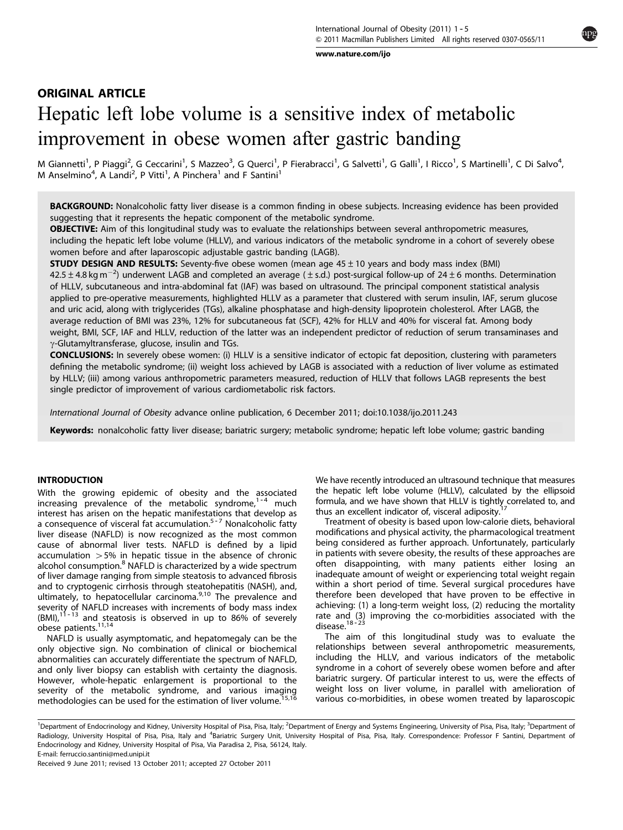[www.nature.com/ijo](http://www.nature.com/)

# ORIGINAL ARTICLE Hepatic left lobe volume is a sensitive index of metabolic improvement in obese women after gastric banding

M Giannetti<sup>1</sup>, P Piaggi<sup>2</sup>, G Ceccarini<sup>1</sup>, S Mazzeo<sup>3</sup>, G Querci<sup>1</sup>, P Fierabracci<sup>1</sup>, G Salvetti<sup>1</sup>, G Galli<sup>1</sup>, I Ricco<sup>1</sup>, S Martinelli<sup>1</sup>, C Di Salvo<sup>4</sup>, M Anselmino<sup>4</sup>, A Landi<sup>2</sup>, P Vitti<sup>1</sup>, A Pinchera<sup>1</sup> and F Santini<sup>1</sup>

BACKGROUND: Nonalcoholic fatty liver disease is a common finding in obese subjects. Increasing evidence has been provided suggesting that it represents the hepatic component of the metabolic syndrome.

OBJECTIVE: Aim of this longitudinal study was to evaluate the relationships between several anthropometric measures, including the hepatic left lobe volume (HLLV), and various indicators of the metabolic syndrome in a cohort of severely obese women before and after laparoscopic adjustable gastric banding (LAGB).

**STUDY DESIGN AND RESULTS:** Seventy-five obese women (mean age  $45 \pm 10$  years and body mass index (BMI) 42.5  $\pm$  4.8 kg m<sup>-2</sup>) underwent LAGB and completed an average ( $\pm$  s.d.) post-surgical follow-up of 24  $\pm$  6 months. Determination of HLLV, subcutaneous and intra-abdominal fat (IAF) was based on ultrasound. The principal component statistical analysis applied to pre-operative measurements, highlighted HLLV as a parameter that clustered with serum insulin, IAF, serum glucose and uric acid, along with triglycerides (TGs), alkaline phosphatase and high-density lipoprotein cholesterol. After LAGB, the average reduction of BMI was 23%, 12% for subcutaneous fat (SCF), 42% for HLLV and 40% for visceral fat. Among body weight, BMI, SCF, IAF and HLLV, reduction of the latter was an independent predictor of reduction of serum transaminases and  $\gamma$ -Glutamyltransferase, glucose, insulin and TGs.

CONCLUSIONS: In severely obese women: (i) HLLV is a sensitive indicator of ectopic fat deposition, clustering with parameters defining the metabolic syndrome; (ii) weight loss achieved by LAGB is associated with a reduction of liver volume as estimated by HLLV; (iii) among various anthropometric parameters measured, reduction of HLLV that follows LAGB represents the best single predictor of improvement of various cardiometabolic risk factors.

International Journal of Obesity advance online publication, 6 December 2011; doi:[10.1038/ijo.2011.243](http://dx.doi.org/10.1038/ijo.2011.243)

Keywords: nonalcoholic fatty liver disease; bariatric surgery; metabolic syndrome; hepatic left lobe volume; gastric banding

# INTRODUCTION

With the growing epidemic of obesity and the associated increasing prevalence of the metabolic syndrome,<sup>1-4</sup> much interest has arisen on the hepatic manifestations that develop as a consequence of visceral fat accumulation.<sup>5-7</sup> Nonalcoholic fatty liver disease (NAFLD) is now recognized as the most common cause of abnormal liver tests. NAFLD is defined by a lipid accumulation  $>5\%$  in hepatic tissue in the absence of chronic alcohol consumption.<sup>[8](#page-4-0)</sup> NAFLD is characterized by a wide spectrum of liver damage ranging from simple steatosis to advanced fibrosis and to cryptogenic cirrhosis through steatohepatitis (NASH), and, ultimately, to hepatocellular carcinoma.<sup>[9,10](#page-4-0)</sup> The prevalence and severity of NAFLD increases with increments of body mass index  $(BMI)$ ,  $1^{1-13}$  and steatosis is observed in up to 86% of severely obese patients.[11,14](#page-4-0)

NAFLD is usually asymptomatic, and hepatomegaly can be the only objective sign. No combination of clinical or biochemical abnormalities can accurately differentiate the spectrum of NAFLD, and only liver biopsy can establish with certainty the diagnosis. However, whole-hepatic enlargement is proportional to the severity of the metabolic syndrome, and various imaging<br>methodologies can be used for the estimation of liver volume.<sup>[15,16](#page-4-0)</sup>

We have recently introduced an ultrasound technique that measures the hepatic left lobe volume (HLLV), calculated by the ellipsoid formula, and we have shown that HLLV is tightly correlated to, and thus an excellent indicator of, visceral adiposity.

Treatment of obesity is based upon low-calorie diets, behavioral modifications and physical activity, the pharmacological treatment being considered as further approach. Unfortunately, particularly in patients with severe obesity, the results of these approaches are often disappointing, with many patients either losing an inadequate amount of weight or experiencing total weight regain within a short period of time. Several surgical procedures have therefore been developed that have proven to be effective in achieving: (1) a long-term weight loss, (2) reducing the mortality rate and (3) improving the co-morbidities associated with the disease.<sup>18-23</sup>

The aim of this longitudinal study was to evaluate the relationships between several anthropometric measurements, including the HLLV, and various indicators of the metabolic syndrome in a cohort of severely obese women before and after bariatric surgery. Of particular interest to us, were the effects of weight loss on liver volume, in parallel with amelioration of various co-morbidities, in obese women treated by laparoscopic

<sup>&</sup>lt;sup>1</sup>Department of Endocrinology and Kidney, University Hospital of Pisa, Pisa, Italy; <sup>2</sup>Department of Energy and Systems Engineering, University of Pisa, Pisa, Italy; <sup>3</sup>Department of Radiology, University Hospital of Pisa, Pisa, Italy and <sup>4</sup>Bariatric Surgery Unit, University Hospital of Pisa, Pisa, Italy. Correspondence: Professor F Santini, Department of Endocrinology and Kidney, University Hospital of Pisa, Via Paradisa 2, Pisa, 56124, Italy. E-mail: [ferruccio.santini@med.unipi.it](mailto:ferruccio.santini@med.unipi.it)

Received 9 June 2011; revised 13 October 2011; accepted 27 October 2011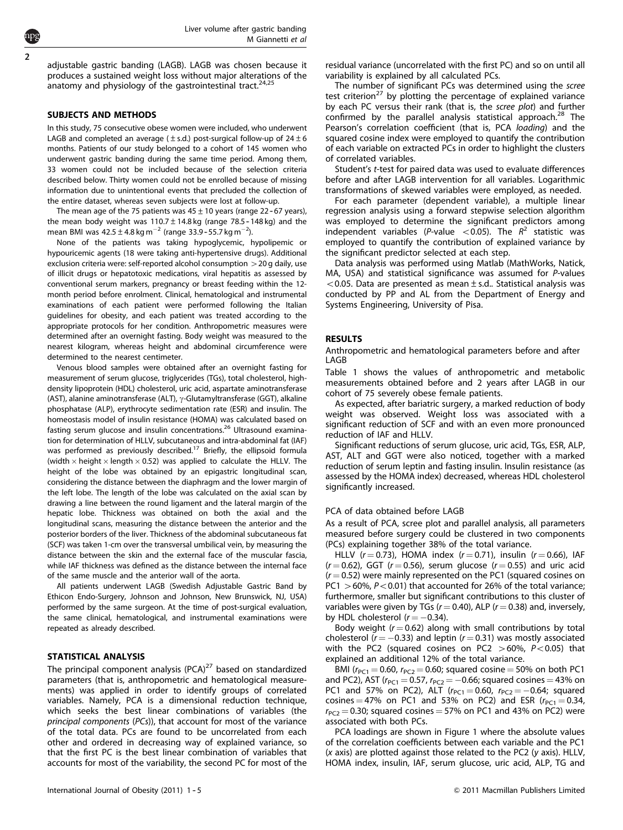2

adjustable gastric banding (LAGB). LAGB was chosen because it produces a sustained weight loss without major alterations of the anatomy and physiology of the gastrointestinal tract. $24,25$ 

### SUBJECTS AND METHODS

In this study, 75 consecutive obese women were included, who underwent LAGB and completed an average ( $\pm$  s.d.) post-surgical follow-up of 24 $\pm$ 6 months. Patients of our study belonged to a cohort of 145 women who underwent gastric banding during the same time period. Among them, 33 women could not be included because of the selection criteria described below. Thirty women could not be enrolled because of missing information due to unintentional events that precluded the collection of the entire dataset, whereas seven subjects were lost at follow-up.

The mean age of the 75 patients was  $45 \pm 10$  years (range 22-67 years). the mean body weight was  $110.7 \pm 14.8$  kg (range 78.5 - 148 kg) and the mean BMI was  $42.5 \pm 4.8$  kg m<sup>-2</sup> (range 33.9-55.7 kg m<sup>-2</sup>).

None of the patients was taking hypoglycemic, hypolipemic or hypouricemic agents (18 were taking anti-hypertensive drugs). Additional exclusion criteria were: self-reported alcohol consumption  $>$  20 g daily, use of illicit drugs or hepatotoxic medications, viral hepatitis as assessed by conventional serum markers, pregnancy or breast feeding within the 12 month period before enrolment. Clinical, hematological and instrumental examinations of each patient were performed following the Italian guidelines for obesity, and each patient was treated according to the appropriate protocols for her condition. Anthropometric measures were determined after an overnight fasting. Body weight was measured to the nearest kilogram, whereas height and abdominal circumference were determined to the nearest centimeter.

Venous blood samples were obtained after an overnight fasting for measurement of serum glucose, triglycerides (TGs), total cholesterol, highdensity lipoprotein (HDL) cholesterol, uric acid, aspartate aminotransferase (AST), alanine aminotransferase (ALT), y-Glutamyltransferase (GGT), alkaline phosphatase (ALP), erythrocyte sedimentation rate (ESR) and insulin. The homeostasis model of insulin resistance (HOMA) was calculated based on fasting serum glucose and insulin concentrations.<sup>[26](#page-4-0)</sup> Ultrasound examination for determination of HLLV, subcutaneous and intra-abdominal fat (IAF) was performed as previously described.<sup>[17](#page-4-0)</sup> Briefly, the ellipsoid formula (width  $\times$  height  $\times$  length  $\times$  0.52) was applied to calculate the HLLV. The height of the lobe was obtained by an epigastric longitudinal scan, considering the distance between the diaphragm and the lower margin of the left lobe. The length of the lobe was calculated on the axial scan by drawing a line between the round ligament and the lateral margin of the hepatic lobe. Thickness was obtained on both the axial and the longitudinal scans, measuring the distance between the anterior and the posterior borders of the liver. Thickness of the abdominal subcutaneous fat (SCF) was taken 1-cm over the transversal umbilical vein, by measuring the distance between the skin and the external face of the muscular fascia, while IAF thickness was defined as the distance between the internal face of the same muscle and the anterior wall of the aorta.

All patients underwent LAGB (Swedish Adjustable Gastric Band by Ethicon Endo-Surgery, Johnson and Johnson, New Brunswick, NJ, USA) performed by the same surgeon. At the time of post-surgical evaluation, the same clinical, hematological, and instrumental examinations were repeated as already described.

#### STATISTICAL ANALYSIS

The principal component analysis  $(PCA)^{27}$  $(PCA)^{27}$  $(PCA)^{27}$  based on standardized parameters (that is, anthropometric and hematological measurements) was applied in order to identify groups of correlated variables. Namely, PCA is a dimensional reduction technique, which seeks the best linear combinations of variables (the principal components (PCs)), that account for most of the variance of the total data. PCs are found to be uncorrelated from each other and ordered in decreasing way of explained variance, so that the first PC is the best linear combination of variables that accounts for most of the variability, the second PC for most of the residual variance (uncorrelated with the first PC) and so on until all variability is explained by all calculated PCs.

The number of significant PCs was determined using the scree test criterion<sup>[27](#page-4-0)</sup> by plotting the percentage of explained variance by each PC versus their rank (that is, the scree plot) and further confirmed by the parallel analysis statistical approach.<sup>[28](#page-4-0)</sup> The Pearson's correlation coefficient (that is, PCA loading) and the squared cosine index were employed to quantify the contribution of each variable on extracted PCs in order to highlight the clusters of correlated variables.

Student's t-test for paired data was used to evaluate differences before and after LAGB intervention for all variables. Logarithmic transformations of skewed variables were employed, as needed.

For each parameter (dependent variable), a multiple linear regression analysis using a forward stepwise selection algorithm was employed to determine the significant predictors among independent variables (P-value  $< 0.05$ ). The  $R^2$  statistic was employed to quantify the contribution of explained variance by the significant predictor selected at each step.

Data analysis was performed using Matlab (MathWorks, Natick, MA, USA) and statistical significance was assumed for P-values <0.05. Data are presented as mean  $\pm$  s.d.. Statistical analysis was conducted by PP and AL from the Department of Energy and Systems Engineering, University of Pisa.

#### RESULTS

Anthropometric and hematological parameters before and after LAGB

[Table 1](#page-2-0) shows the values of anthropometric and metabolic measurements obtained before and 2 years after LAGB in our cohort of 75 severely obese female patients.

As expected, after bariatric surgery, a marked reduction of body weight was observed. Weight loss was associated with a significant reduction of SCF and with an even more pronounced reduction of IAF and HLLV.

Significant reductions of serum glucose, uric acid, TGs, ESR, ALP, AST, ALT and GGT were also noticed, together with a marked reduction of serum leptin and fasting insulin. Insulin resistance (as assessed by the HOMA index) decreased, whereas HDL cholesterol significantly increased.

# PCA of data obtained before LAGB

As a result of PCA, scree plot and parallel analysis, all parameters measured before surgery could be clustered in two components (PCs) explaining together 38% of the total variance.

HLLV ( $r = 0.73$ ), HOMA index ( $r = 0.71$ ), insulin ( $r = 0.66$ ), IAF  $(r = 0.62)$ , GGT ( $r = 0.56$ ), serum glucose ( $r = 0.55$ ) and uric acid  $(r = 0.52)$  were mainly represented on the PC1 (squared cosines on  $PC1 > 60\%$ ,  $P < 0.01$ ) that accounted for 26% of the total variance; furthermore, smaller but significant contributions to this cluster of variables were given by TGs ( $r = 0.40$ ), ALP ( $r = 0.38$ ) and, inversely, by HDL cholesterol  $(r = -0.34)$ .

Body weight ( $r = 0.62$ ) along with small contributions by total cholesterol ( $r = -0.33$ ) and leptin ( $r = 0.31$ ) was mostly associated with the PC2 (squared cosines on PC2  $>60\%$ , P $< 0.05$ ) that explained an additional 12% of the total variance.

BMI ( $r_{PC1} = 0.60$ ,  $r_{PC2} = 0.60$ ; squared cosine = 50% on both PC1 and PC2), AST ( $r_{PC1} = 0.57$ ,  $r_{PC2} = -0.66$ ; squared cosines = 43% on PC1 and 57% on PC2), ALT ( $r_{PC1} = 0.60$ ,  $r_{PC2} = -0.64$ ; squared cosines = 47% on PC1 and 53% on PC2) and ESR ( $r_{PC1} = 0.34$ ,  $r_{PC2} = 0.30$ ; squared cosines = 57% on PC1 and 43% on PC2) were associated with both PCs.

PCA loadings are shown in [Figure 1](#page-2-0) where the absolute values of the correlation coefficients between each variable and the PC1 (x axis) are plotted against those related to the PC2 (y axis). HLLV, HOMA index, insulin, IAF, serum glucose, uric acid, ALP, TG and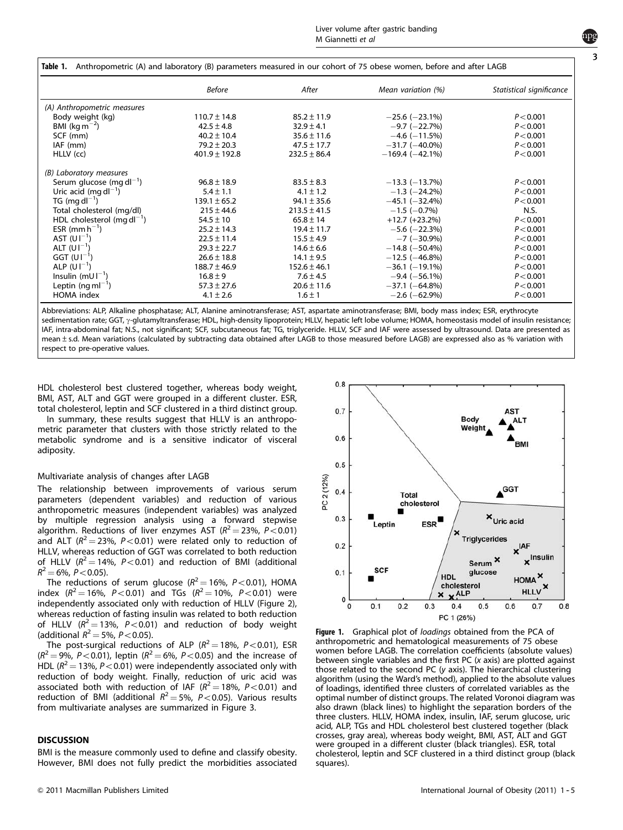<span id="page-2-0"></span>

|                                        | <b>Before</b>     | After            | Mean variation (%)     | Statistical significance |
|----------------------------------------|-------------------|------------------|------------------------|--------------------------|
| (A) Anthropometric measures            |                   |                  |                        |                          |
| Body weight (kg)                       | $110.7 \pm 14.8$  | $85.2 \pm 11.9$  | $-25.6$ ( $-23.1\%$ )  | P < 0.001                |
| BMI (kg m <sup><math>-2</math></sup> ) | $42.5 \pm 4.8$    | $32.9 \pm 4.1$   | $-9.7$ ( $-22.7%$ )    | P < 0.001                |
| SCF (mm)                               | $40.2 \pm 10.4$   | $35.6 \pm 11.6$  | $-4.6$ ( $-11.5%$ )    | P < 0.001                |
| IAF (mm)                               | $79.2 \pm 20.3$   | $47.5 \pm 17.7$  | $-31.7$ ( $-40.0\%$ )  | P < 0.001                |
| HLLV (cc)                              | $401.9 \pm 192.8$ | $232.5 \pm 86.4$ | $-169.4$ ( $-42.1\%$ ) | P < 0.001                |
| (B) Laboratory measures                |                   |                  |                        |                          |
| Serum glucose (mg dl <sup>-1</sup> )   | $96.8 \pm 18.9$   | $83.5 \pm 8.3$   | $-13.3$ ( $-13.7%$ )   | P < 0.001                |
| Uric acid (mg $dl^{-1}$ )              | $5.4 \pm 1.1$     | $4.1 \pm 1.2$    | $-1.3$ ( $-24.2%$ )    | P < 0.001                |
| TG (mg dl <sup>-1</sup> )              | $139.1 \pm 65.2$  | $94.1 \pm 35.6$  | $-45.1$ ( $-32.4%$ )   | P < 0.001                |
| Total cholesterol (mg/dl)              | $215 \pm 44.6$    | $213.5 \pm 41.5$ | $-1.5$ ( $-0.7\%$ )    | N.S.                     |
| HDL cholesterol (mg dl <sup>-1</sup> ) | $54.5 \pm 10$     | $65.8 \pm 14$    | $+12.7 (+23.2%)$       | P < 0.001                |
| ESR (mm $h^{-1}$ )                     | $25.2 \pm 14.3$   | $19.4 \pm 11.7$  | $-5.6$ ( $-22.3%$ )    | P < 0.001                |
| AST $(UI^{-1})$                        | $22.5 \pm 11.4$   | $15.5 \pm 4.9$   | $-7$ ( $-30.9%$ )      | P < 0.001                |
| ALT $(UI^{-1})$                        | $29.3 \pm 22.7$   | $14.6 \pm 6.6$   | $-14.8$ ( $-50.4%$ )   | P < 0.001                |
| $GGT (UI-1)$                           | $26.6 \pm 18.8$   | $14.1 \pm 9.5$   | $-12.5$ ( $-46.8%$ )   | P < 0.001                |
| ALP $(U1^{-1})$                        | $188.7 \pm 46.9$  | $152.6 \pm 46.1$ | $-36.1$ ( $-19.1\%$ )  | P < 0.001                |
| Insulin $(mUI^{-1})$                   | $16.8 \pm 9$      | $7.6 \pm 4.5$    | $-9.4 (-56.1%)$        | P < 0.001                |
| Leptin $(nqml^{-1})$                   | $57.3 \pm 27.6$   | $20.6 \pm 11.6$  | $-37.1$ ( $-64.8%$ )   | P < 0.001                |
| HOMA index                             | $4.1 \pm 2.6$     | $1.6 \pm 1$      | $-2.6$ ( $-62.9%$ )    | P < 0.001                |

Abbreviations: ALP, Alkaline phosphatase; ALT, Alanine aminotransferase; AST, aspartate aminotransferase; BMI, body mass index; ESR, erythrocyte sedimentation rate; GGT, y-glutamyltransferase; HDL, high-density lipoprotein; HLLV, hepatic left lobe volume; HOMA, homeostasis model of insulin resistance; IAF, intra-abdominal fat; N.S., not significant; SCF, subcutaneous fat; TG, triglyceride. HLLV, SCF and IAF were assessed by ultrasound. Data are presented as mean±s.d. Mean variations (calculated by subtracting data obtained after LAGB to those measured before LAGB) are expressed also as % variation with respect to pre-operative values.

HDL cholesterol best clustered together, whereas body weight, BMI, AST, ALT and GGT were grouped in a different cluster. ESR, total cholesterol, leptin and SCF clustered in a third distinct group.

In summary, these results suggest that HLLV is an anthropometric parameter that clusters with those strictly related to the metabolic syndrome and is a sensitive indicator of visceral adiposity.

#### Multivariate analysis of changes after LAGB

The relationship between improvements of various serum parameters (dependent variables) and reduction of various anthropometric measures (independent variables) was analyzed by multiple regression analysis using a forward stepwise algorithm. Reductions of liver enzymes AST ( $R^2 = 23\%$ ,  $P < 0.01$ ) and ALT ( $R^2 = 23\%$ , P<0.01) were related only to reduction of HLLV, whereas reduction of GGT was correlated to both reduction of HLLV ( $R^2 = 14\%$ ,  $P < 0.01$ ) and reduction of BMI (additional  $R^2 = 6\%, P < 0.05$ ).

The reductions of serum glucose ( $R^2 = 16$ %, P < 0.01), HOMA index  $(R^2 = 16\%, P < 0.01)$  and TGs  $(R^2 = 10\%, P < 0.01)$  were independently associated only with reduction of HLLV [\(Figure 2\)](#page-3-0), whereas reduction of fasting insulin was related to both reduction of HLLV  $(R^2 = 13\%, P < 0.01)$  and reduction of body weight (additional  $R^2 = 5\%$ ,  $P < 0.05$ ).

The post-surgical reductions of ALP ( $R^2 = 18\%$ ,  $P < 0.01$ ), ESR  $(R^2 = 9\%$ , P < 0.01), leptin  $(R^2 = 6\%$ , P < 0.05) and the increase of HDL ( $R^2$  = 13%, P < 0.01) were independently associated only with reduction of body weight. Finally, reduction of uric acid was associated both with reduction of IAF ( $R^2 = 18$ %,  $P < 0.01$ ) and reduction of BMI (additional  $R^2 = 5\%$ , P < 0.05). Various results from multivariate analyses are summarized in [Figure 3](#page-3-0).

# **DISCUSSION**

BMI is the measure commonly used to define and classify obesity. However, BMI does not fully predict the morbidities associated



Figure 1. Graphical plot of loadings obtained from the PCA of anthropometric and hematological measurements of 75 obese women before LAGB. The correlation coefficients (absolute values) between single variables and the first PC (x axis) are plotted against those related to the second PC (y axis). The hierarchical clustering algorithm (using the Ward's method), applied to the absolute values of loadings, identified three clusters of correlated variables as the optimal number of distinct groups. The related Voronoi diagram was also drawn (black lines) to highlight the separation borders of the three clusters. HLLV, HOMA index, insulin, IAF, serum glucose, uric acid, ALP, TGs and HDL cholesterol best clustered together (black crosses, gray area), whereas body weight, BMI, AST, ALT and GGT were grouped in a different cluster (black triangles). ESR, total cholesterol, leptin and SCF clustered in a third distinct group (black squares).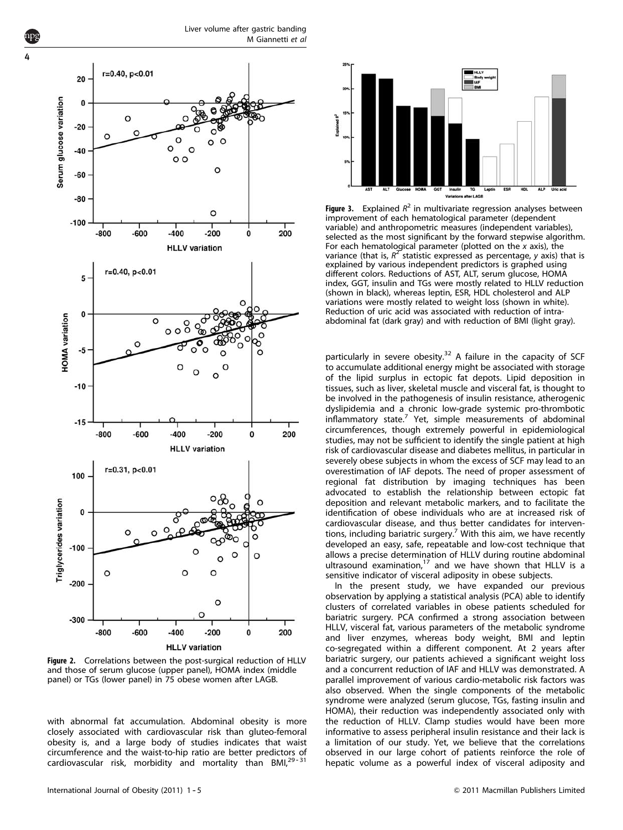<span id="page-3-0"></span>

Figure 2. Correlations between the post-surgical reduction of HLLV and those of serum glucose (upper panel), HOMA index (middle panel) or TGs (lower panel) in 75 obese women after LAGB.

with abnormal fat accumulation. Abdominal obesity is more closely associated with cardiovascular risk than gluteo-femoral obesity is, and a large body of studies indicates that waist circumference and the waist-to-hip ratio are better predictors of cardiovascular risk, morbidity and mortality than BMI, $^{29-31}$ 



Figure 3. Explained  $R^2$  in multivariate regression analyses between improvement of each hematological parameter (dependent variable) and anthropometric measures (independent variables), selected as the most significant by the forward stepwise algorithm. For each hematological parameter (plotted on the x axis), the variance (that is,  $R^2$  statistic expressed as percentage, y axis) that is explained by various independent predictors is graphed using different colors. Reductions of AST, ALT, serum glucose, HOMA index, GGT, insulin and TGs were mostly related to HLLV reduction (shown in black), whereas leptin, ESR, HDL cholesterol and ALP variations were mostly related to weight loss (shown in white). Reduction of uric acid was associated with reduction of intraabdominal fat (dark gray) and with reduction of BMI (light gray).

particularly in severe obesity.<sup>[32](#page-4-0)</sup> A failure in the capacity of SCF to accumulate additional energy might be associated with storage of the lipid surplus in ectopic fat depots. Lipid deposition in tissues, such as liver, skeletal muscle and visceral fat, is thought to be involved in the pathogenesis of insulin resistance, atherogenic dyslipidemia and a chronic low-grade systemic pro-thrombotic  $infl$ ammatory state.<sup>[7](#page-4-0)</sup> Yet, simple measurements of abdominal circumferences, though extremely powerful in epidemiological studies, may not be sufficient to identify the single patient at high risk of cardiovascular disease and diabetes mellitus, in particular in severely obese subjects in whom the excess of SCF may lead to an overestimation of IAF depots. The need of proper assessment of regional fat distribution by imaging techniques has been advocated to establish the relationship between ectopic fat deposition and relevant metabolic markers, and to facilitate the identification of obese individuals who are at increased risk of cardiovascular disease, and thus better candidates for interven-tions, including bariatric surgery.<sup>[7](#page-4-0)</sup> With this aim, we have recently developed an easy, safe, repeatable and low-cost technique that allows a precise determination of HLLV during routine abdominal ultrasound examination, $17$  and we have shown that HLLV is a sensitive indicator of visceral adiposity in obese subjects.

In the present study, we have expanded our previous observation by applying a statistical analysis (PCA) able to identify clusters of correlated variables in obese patients scheduled for bariatric surgery. PCA confirmed a strong association between HLLV, visceral fat, various parameters of the metabolic syndrome and liver enzymes, whereas body weight, BMI and leptin co-segregated within a different component. At 2 years after bariatric surgery, our patients achieved a significant weight loss and a concurrent reduction of IAF and HLLV was demonstrated. A parallel improvement of various cardio-metabolic risk factors was also observed. When the single components of the metabolic syndrome were analyzed (serum glucose, TGs, fasting insulin and HOMA), their reduction was independently associated only with the reduction of HLLV. Clamp studies would have been more informative to assess peripheral insulin resistance and their lack is a limitation of our study. Yet, we believe that the correlations observed in our large cohort of patients reinforce the role of hepatic volume as a powerful index of visceral adiposity and